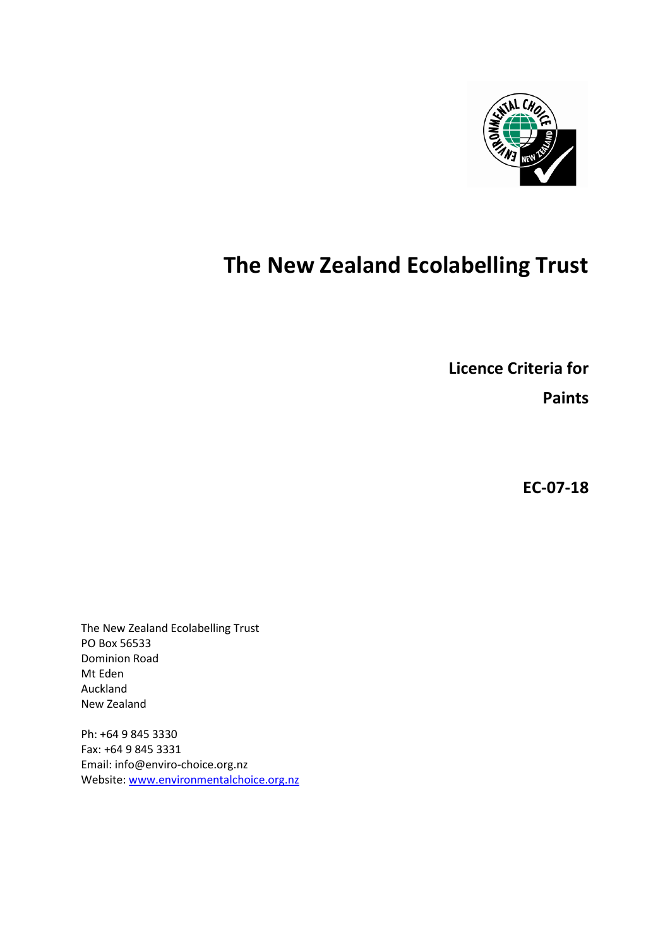

# **The New Zealand Ecolabelling Trust**

**Licence Criteria for**

**Paints**

**EC-07-18**

The New Zealand Ecolabelling Trust PO Box 56533 Dominion Road Mt Eden Auckland New Zealand

Ph: +64 9 845 3330 Fax: +64 9 845 3331 Email: info@enviro-choice.org.nz Website[: www.environmentalchoice.org.nz](http://www.environmentalchoice.org.nz/)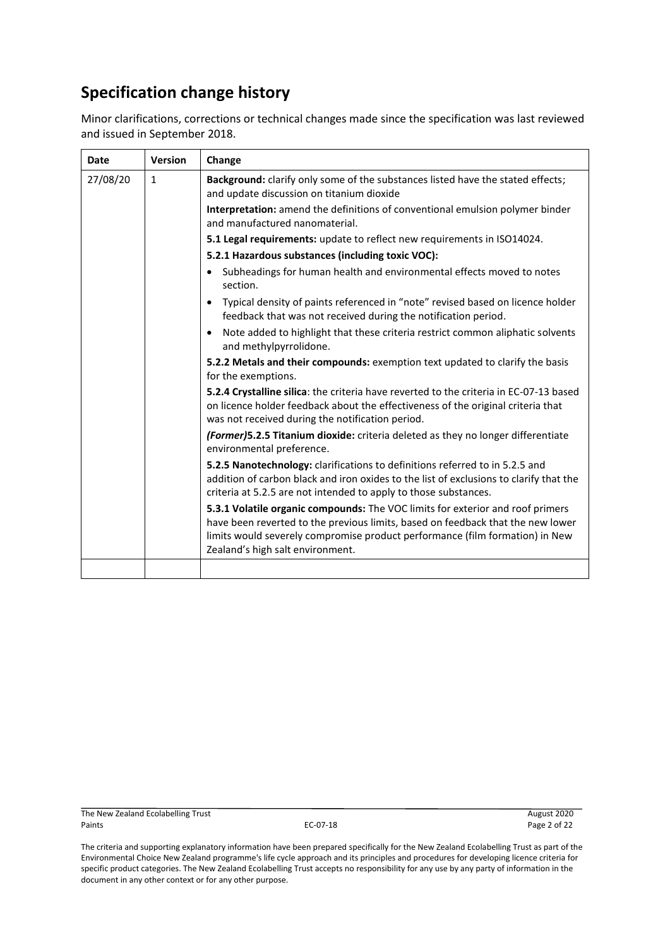# **Specification change history**

Minor clarifications, corrections or technical changes made since the specification was last reviewed and issued in September 2018.

| Date                                              | <b>Version</b> | Change                                                                                                                                                                                                                                                                                |  |
|---------------------------------------------------|----------------|---------------------------------------------------------------------------------------------------------------------------------------------------------------------------------------------------------------------------------------------------------------------------------------|--|
| 27/08/20                                          | $\mathbf{1}$   | Background: clarify only some of the substances listed have the stated effects;<br>and update discussion on titanium dioxide                                                                                                                                                          |  |
| and manufactured nanomaterial.                    |                | Interpretation: amend the definitions of conventional emulsion polymer binder                                                                                                                                                                                                         |  |
|                                                   |                | 5.1 Legal requirements: update to reflect new requirements in ISO14024.                                                                                                                                                                                                               |  |
| 5.2.1 Hazardous substances (including toxic VOC): |                |                                                                                                                                                                                                                                                                                       |  |
|                                                   |                | Subheadings for human health and environmental effects moved to notes<br>section.                                                                                                                                                                                                     |  |
|                                                   |                | Typical density of paints referenced in "note" revised based on licence holder<br>feedback that was not received during the notification period.                                                                                                                                      |  |
|                                                   |                | Note added to highlight that these criteria restrict common aliphatic solvents<br>and methylpyrrolidone.                                                                                                                                                                              |  |
|                                                   |                | 5.2.2 Metals and their compounds: exemption text updated to clarify the basis<br>for the exemptions.                                                                                                                                                                                  |  |
|                                                   |                | 5.2.4 Crystalline silica: the criteria have reverted to the criteria in EC-07-13 based<br>on licence holder feedback about the effectiveness of the original criteria that<br>was not received during the notification period.                                                        |  |
|                                                   |                | (Former)5.2.5 Titanium dioxide: criteria deleted as they no longer differentiate<br>environmental preference.                                                                                                                                                                         |  |
|                                                   |                | 5.2.5 Nanotechnology: clarifications to definitions referred to in 5.2.5 and<br>addition of carbon black and iron oxides to the list of exclusions to clarify that the<br>criteria at 5.2.5 are not intended to apply to those substances.                                            |  |
|                                                   |                | 5.3.1 Volatile organic compounds: The VOC limits for exterior and roof primers<br>have been reverted to the previous limits, based on feedback that the new lower<br>limits would severely compromise product performance (film formation) in New<br>Zealand's high salt environment. |  |
|                                                   |                |                                                                                                                                                                                                                                                                                       |  |

The New Zealand Ecolabelling Trust **August 2020**<br>Paints Page 2 of 22 Paints **EC-07-18** Page 2 of 22 and 22 and 22 and 22 and 22 and 22 and 22 and 22 and 22 and 22 and 22 and 22 and 22 and 22 and 22 and 22 and 22 and 22 and 22 and 22 and 22 and 22 and 22 and 22 and 22 and 22 and 22 and 22 an

The criteria and supporting explanatory information have been prepared specifically for the New Zealand Ecolabelling Trust as part of the Environmental Choice New Zealand programme's life cycle approach and its principles and procedures for developing licence criteria for specific product categories. The New Zealand Ecolabelling Trust accepts no responsibility for any use by any party of information in the document in any other context or for any other purpose.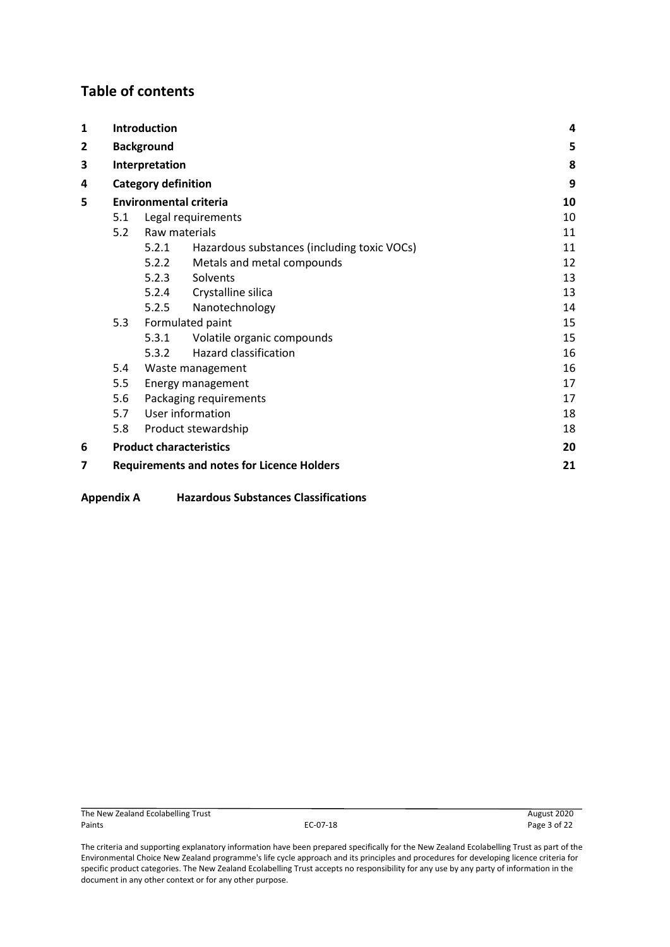# **Table of contents**

| $\mathbf{1}$             | <b>Introduction</b> |                            | 4                                                 |    |
|--------------------------|---------------------|----------------------------|---------------------------------------------------|----|
| $\overline{2}$           |                     | <b>Background</b>          |                                                   | 5  |
| 3                        |                     | Interpretation             |                                                   | 8  |
| 4                        |                     | <b>Category definition</b> |                                                   | 9  |
| 5                        |                     |                            | <b>Environmental criteria</b>                     | 10 |
|                          | 5.1                 |                            | Legal requirements                                | 10 |
|                          | 5.2                 | Raw materials              |                                                   | 11 |
|                          |                     | 5.2.1                      | Hazardous substances (including toxic VOCs)       | 11 |
|                          |                     | 5.2.2                      | Metals and metal compounds                        | 12 |
|                          |                     | 5.2.3                      | Solvents                                          | 13 |
|                          |                     |                            | 5.2.4 Crystalline silica                          | 13 |
|                          |                     | 5.2.5                      | Nanotechnology                                    | 14 |
|                          | 5.3                 |                            | Formulated paint                                  | 15 |
|                          |                     | 5.3.1                      | Volatile organic compounds                        | 15 |
|                          |                     | 5.3.2                      | <b>Hazard classification</b>                      | 16 |
|                          | 5.4                 |                            | Waste management                                  | 16 |
| 5.5<br>Energy management |                     | 17                         |                                                   |    |
|                          | 5.6                 |                            | Packaging requirements                            | 17 |
|                          | 5.7                 |                            | User information                                  | 18 |
|                          | 5.8                 |                            | Product stewardship                               | 18 |
| 6                        |                     |                            | <b>Product characteristics</b>                    | 20 |
| 7                        |                     |                            | <b>Requirements and notes for Licence Holders</b> | 21 |

**Appendix A [Hazardous Substances Classifications](#page-21-0)**

The criteria and supporting explanatory information have been prepared specifically for the New Zealand Ecolabelling Trust as part of the Environmental Choice New Zealand programme's life cycle approach and its principles and procedures for developing licence criteria for specific product categories. The New Zealand Ecolabelling Trust accepts no responsibility for any use by any party of information in the document in any other context or for any other purpose.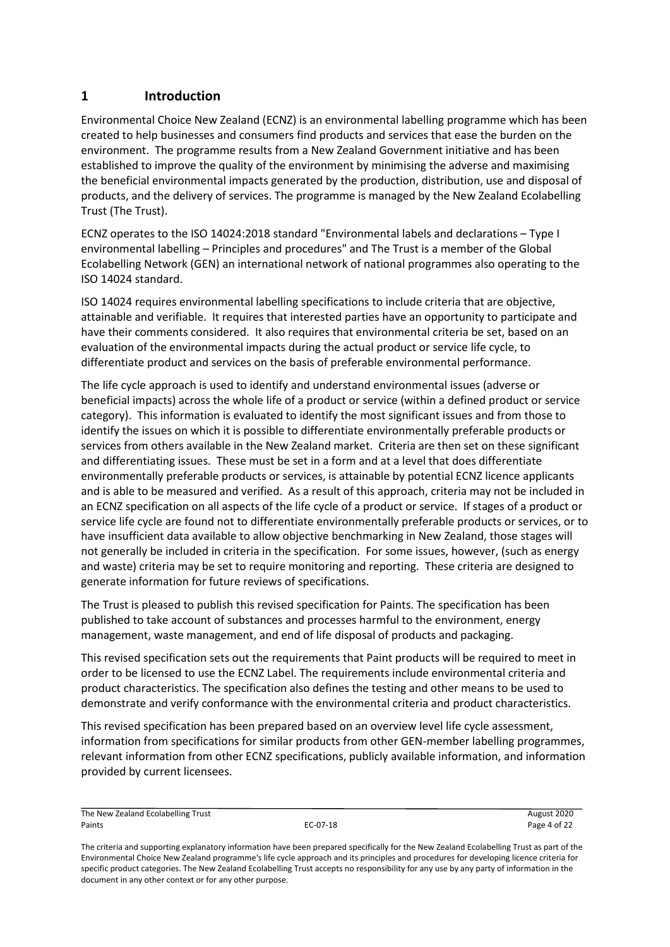# <span id="page-3-0"></span>**1 Introduction**

Environmental Choice New Zealand (ECNZ) is an environmental labelling programme which has been created to help businesses and consumers find products and services that ease the burden on the environment. The programme results from a New Zealand Government initiative and has been established to improve the quality of the environment by minimising the adverse and maximising the beneficial environmental impacts generated by the production, distribution, use and disposal of products, and the delivery of services. The programme is managed by the New Zealand Ecolabelling Trust (The Trust).

ECNZ operates to the ISO 14024:2018 standard "Environmental labels and declarations – Type I environmental labelling – Principles and procedures" and The Trust is a member of the Global Ecolabelling Network (GEN) an international network of national programmes also operating to the ISO 14024 standard.

ISO 14024 requires environmental labelling specifications to include criteria that are objective, attainable and verifiable. It requires that interested parties have an opportunity to participate and have their comments considered. It also requires that environmental criteria be set, based on an evaluation of the environmental impacts during the actual product or service life cycle, to differentiate product and services on the basis of preferable environmental performance.

The life cycle approach is used to identify and understand environmental issues (adverse or beneficial impacts) across the whole life of a product or service (within a defined product or service category). This information is evaluated to identify the most significant issues and from those to identify the issues on which it is possible to differentiate environmentally preferable products or services from others available in the New Zealand market. Criteria are then set on these significant and differentiating issues. These must be set in a form and at a level that does differentiate environmentally preferable products or services, is attainable by potential ECNZ licence applicants and is able to be measured and verified. As a result of this approach, criteria may not be included in an ECNZ specification on all aspects of the life cycle of a product or service. If stages of a product or service life cycle are found not to differentiate environmentally preferable products or services, or to have insufficient data available to allow objective benchmarking in New Zealand, those stages will not generally be included in criteria in the specification. For some issues, however, (such as energy and waste) criteria may be set to require monitoring and reporting. These criteria are designed to generate information for future reviews of specifications.

The Trust is pleased to publish this revised specification for Paints. The specification has been published to take account of substances and processes harmful to the environment, energy management, waste management, and end of life disposal of products and packaging.

This revised specification sets out the requirements that Paint products will be required to meet in order to be licensed to use the ECNZ Label. The requirements include environmental criteria and product characteristics. The specification also defines the testing and other means to be used to demonstrate and verify conformance with the environmental criteria and product characteristics.

This revised specification has been prepared based on an overview level life cycle assessment, information from specifications for similar products from other GEN-member labelling programmes, relevant information from other ECNZ specifications, publicly available information, and information provided by current licensees.

The New Zealand Ecolabelling Trust August 2020 Paints EC-07-18 Page 4 of 22

The criteria and supporting explanatory information have been prepared specifically for the New Zealand Ecolabelling Trust as part of the Environmental Choice New Zealand programme's life cycle approach and its principles and procedures for developing licence criteria for specific product categories. The New Zealand Ecolabelling Trust accepts no responsibility for any use by any party of information in the document in any other context or for any other purpose.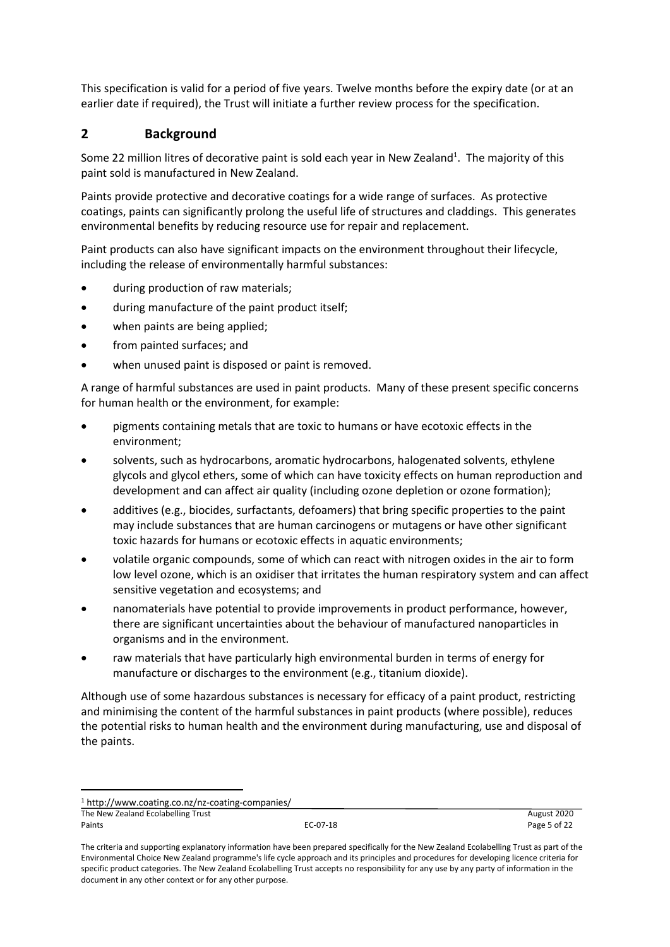This specification is valid for a period of five years. Twelve months before the expiry date (or at an earlier date if required), the Trust will initiate a further review process for the specification.

# <span id="page-4-0"></span>**2 Background**

Some 22 million litres of decorative paint is sold each year in New Zealand<sup>1</sup>. The majority of this paint sold is manufactured in New Zealand.

Paints provide protective and decorative coatings for a wide range of surfaces. As protective coatings, paints can significantly prolong the useful life of structures and claddings. This generates environmental benefits by reducing resource use for repair and replacement.

Paint products can also have significant impacts on the environment throughout their lifecycle, including the release of environmentally harmful substances:

- during production of raw materials;
- during manufacture of the paint product itself;
- when paints are being applied;
- from painted surfaces; and
- when unused paint is disposed or paint is removed.

A range of harmful substances are used in paint products. Many of these present specific concerns for human health or the environment, for example:

- pigments containing metals that are toxic to humans or have ecotoxic effects in the environment;
- solvents, such as hydrocarbons, aromatic hydrocarbons, halogenated solvents, ethylene glycols and glycol ethers, some of which can have toxicity effects on human reproduction and development and can affect air quality (including ozone depletion or ozone formation);
- additives (e.g., biocides, surfactants, defoamers) that bring specific properties to the paint may include substances that are human carcinogens or mutagens or have other significant toxic hazards for humans or ecotoxic effects in aquatic environments;
- volatile organic compounds, some of which can react with nitrogen oxides in the air to form low level ozone, which is an oxidiser that irritates the human respiratory system and can affect sensitive vegetation and ecosystems; and
- nanomaterials have potential to provide improvements in product performance, however, there are significant uncertainties about the behaviour of manufactured nanoparticles in organisms and in the environment.
- raw materials that have particularly high environmental burden in terms of energy for manufacture or discharges to the environment (e.g., titanium dioxide).

Although use of some hazardous substances is necessary for efficacy of a paint product, restricting and minimising the content of the harmful substances in paint products (where possible), reduces the potential risks to human health and the environment during manufacturing, use and disposal of the paints.

<sup>1</sup> http://www.coating.co.nz/nz-coating-companies/

The New Zealand Ecolabelling Trust **August 2020 August 2020 August 2020** Paints EC-07-18 Page 5 of 22

The criteria and supporting explanatory information have been prepared specifically for the New Zealand Ecolabelling Trust as part of the Environmental Choice New Zealand programme's life cycle approach and its principles and procedures for developing licence criteria for specific product categories. The New Zealand Ecolabelling Trust accepts no responsibility for any use by any party of information in the document in any other context or for any other purpose.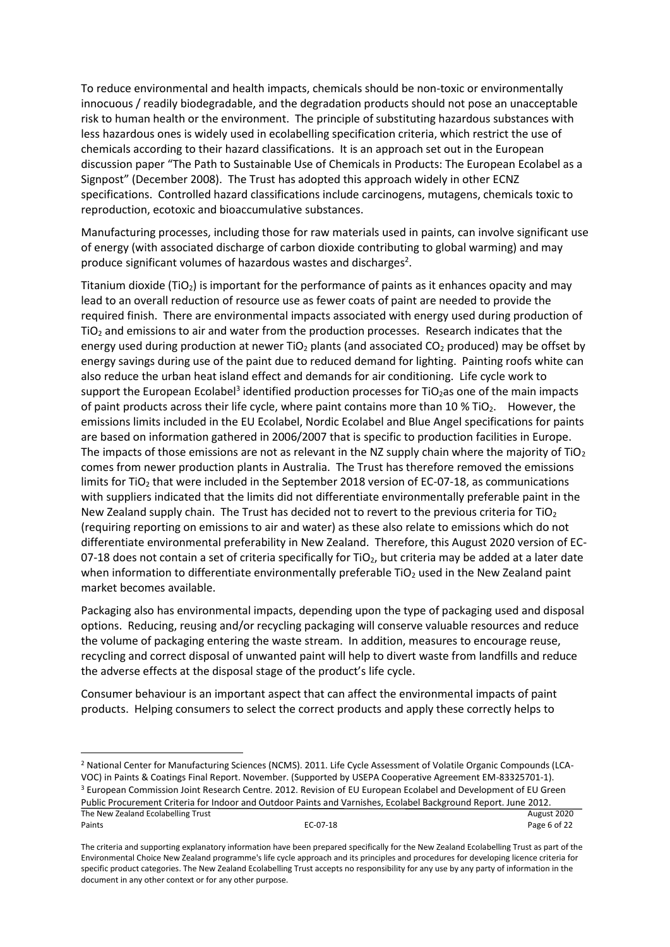To reduce environmental and health impacts, chemicals should be non-toxic or environmentally innocuous / readily biodegradable, and the degradation products should not pose an unacceptable risk to human health or the environment. The principle of substituting hazardous substances with less hazardous ones is widely used in ecolabelling specification criteria, which restrict the use of chemicals according to their hazard classifications. It is an approach set out in the European discussion paper "The Path to Sustainable Use of Chemicals in Products: The European Ecolabel as a Signpost" (December 2008). The Trust has adopted this approach widely in other ECNZ specifications. Controlled hazard classifications include carcinogens, mutagens, chemicals toxic to reproduction, ecotoxic and bioaccumulative substances.

Manufacturing processes, including those for raw materials used in paints, can involve significant use of energy (with associated discharge of carbon dioxide contributing to global warming) and may produce significant volumes of hazardous wastes and discharges<sup>2</sup>.

Titanium dioxide ( $TiO<sub>2</sub>$ ) is important for the performance of paints as it enhances opacity and may lead to an overall reduction of resource use as fewer coats of paint are needed to provide the required finish. There are environmental impacts associated with energy used during production of  $TiO<sub>2</sub>$  and emissions to air and water from the production processes. Research indicates that the energy used during production at newer TiO<sub>2</sub> plants (and associated  $CO<sub>2</sub>$  produced) may be offset by energy savings during use of the paint due to reduced demand for lighting. Painting roofs white can also reduce the urban heat island effect and demands for air conditioning. Life cycle work to support the European Ecolabel<sup>3</sup> identified production processes for TiO<sub>2</sub>as one of the main impacts of paint products across their life cycle, where paint contains more than 10  $%$  TiO<sub>2</sub>. However, the emissions limits included in the EU Ecolabel, Nordic Ecolabel and Blue Angel specifications for paints are based on information gathered in 2006/2007 that is specific to production facilities in Europe. The impacts of those emissions are not as relevant in the NZ supply chain where the majority of TiO<sub>2</sub> comes from newer production plants in Australia. The Trust has therefore removed the emissions limits for TiO<sub>2</sub> that were included in the September 2018 version of EC-07-18, as communications with suppliers indicated that the limits did not differentiate environmentally preferable paint in the New Zealand supply chain. The Trust has decided not to revert to the previous criteria for TiO<sub>2</sub> (requiring reporting on emissions to air and water) as these also relate to emissions which do not differentiate environmental preferability in New Zealand. Therefore, this August 2020 version of EC-07-18 does not contain a set of criteria specifically for  $TiO<sub>2</sub>$ , but criteria may be added at a later date when information to differentiate environmentally preferable  $TiO<sub>2</sub>$  used in the New Zealand paint market becomes available.

Packaging also has environmental impacts, depending upon the type of packaging used and disposal options. Reducing, reusing and/or recycling packaging will conserve valuable resources and reduce the volume of packaging entering the waste stream. In addition, measures to encourage reuse, recycling and correct disposal of unwanted paint will help to divert waste from landfills and reduce the adverse effects at the disposal stage of the product's life cycle.

Consumer behaviour is an important aspect that can affect the environmental impacts of paint products. Helping consumers to select the correct products and apply these correctly helps to

The New Zealand Ecolabelling Trust **August 2020 August 2020** <sup>2</sup> National Center for Manufacturing Sciences (NCMS). 2011. Life Cycle Assessment of Volatile Organic Compounds (LCA-VOC) in Paints & Coatings Final Report. November. (Supported by USEPA Cooperative Agreement EM-83325701-1). <sup>3</sup> European Commission Joint Research Centre. 2012. Revision of EU European Ecolabel and Development of EU Green Public Procurement Criteria for Indoor and Outdoor Paints and Varnishes, Ecolabel Background Report. June 2012.

Paints EC-07-18 Page 6 of 22

The criteria and supporting explanatory information have been prepared specifically for the New Zealand Ecolabelling Trust as part of the Environmental Choice New Zealand programme's life cycle approach and its principles and procedures for developing licence criteria for specific product categories. The New Zealand Ecolabelling Trust accepts no responsibility for any use by any party of information in the document in any other context or for any other purpose.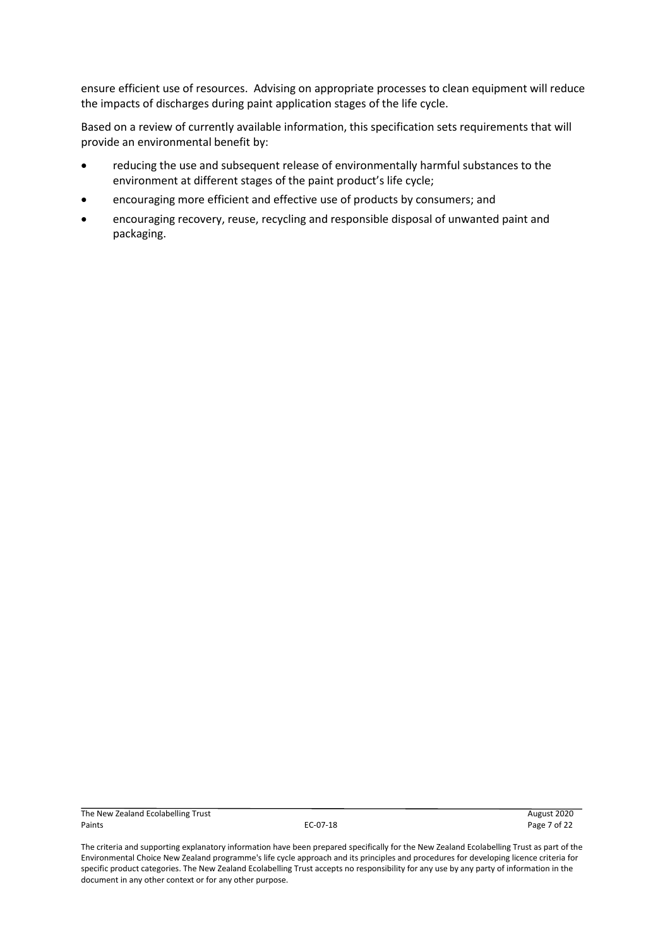ensure efficient use of resources. Advising on appropriate processes to clean equipment will reduce the impacts of discharges during paint application stages of the life cycle.

Based on a review of currently available information, this specification sets requirements that will provide an environmental benefit by:

- reducing the use and subsequent release of environmentally harmful substances to the environment at different stages of the paint product's life cycle;
- encouraging more efficient and effective use of products by consumers; and
- encouraging recovery, reuse, recycling and responsible disposal of unwanted paint and packaging.

The New Zealand Ecolabelling Trust **August 2020**<br>Paints **Page 7** of 22 Paints EC-07-18 Page 7 of 22

The criteria and supporting explanatory information have been prepared specifically for the New Zealand Ecolabelling Trust as part of the Environmental Choice New Zealand programme's life cycle approach and its principles and procedures for developing licence criteria for specific product categories. The New Zealand Ecolabelling Trust accepts no responsibility for any use by any party of information in the document in any other context or for any other purpose.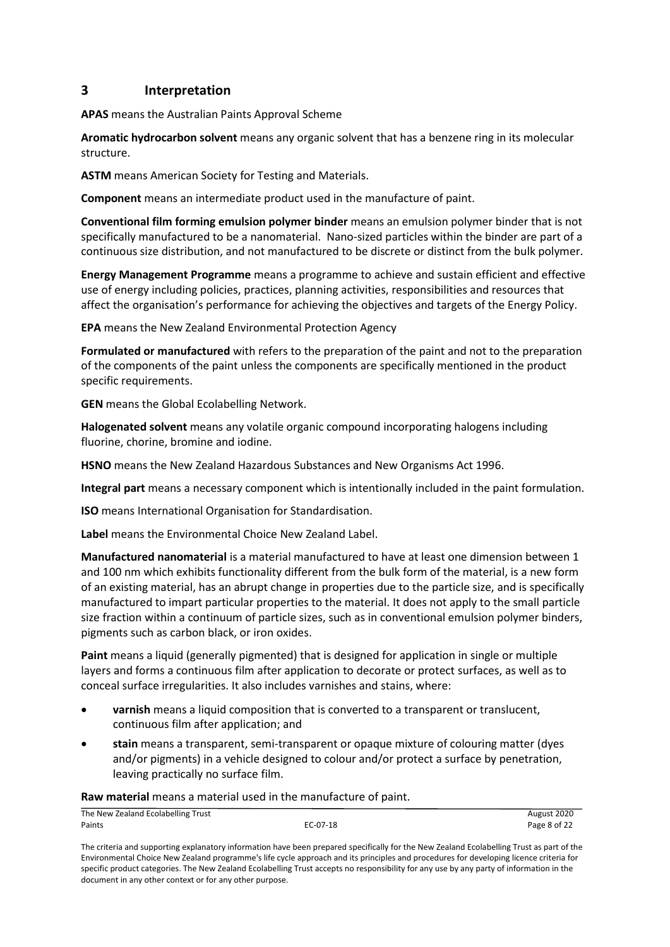# <span id="page-7-0"></span>**3 Interpretation**

**APAS** means the Australian Paints Approval Scheme

**Aromatic hydrocarbon solvent** means any organic solvent that has a benzene ring in its molecular structure.

**ASTM** means American Society for Testing and Materials.

**Component** means an intermediate product used in the manufacture of paint.

**Conventional film forming emulsion polymer binder** means an emulsion polymer binder that is not specifically manufactured to be a nanomaterial. Nano-sized particles within the binder are part of a continuous size distribution, and not manufactured to be discrete or distinct from the bulk polymer.

**Energy Management Programme** means a programme to achieve and sustain efficient and effective use of energy including policies, practices, planning activities, responsibilities and resources that affect the organisation's performance for achieving the objectives and targets of the Energy Policy.

**EPA** means the New Zealand Environmental Protection Agency

**Formulated or manufactured** with refers to the preparation of the paint and not to the preparation of the components of the paint unless the components are specifically mentioned in the product specific requirements.

**GEN** means the Global Ecolabelling Network.

**Halogenated solvent** means any volatile organic compound incorporating halogens including fluorine, chorine, bromine and iodine.

**HSNO** means the New Zealand Hazardous Substances and New Organisms Act 1996.

**Integral part** means a necessary component which is intentionally included in the paint formulation.

**ISO** means International Organisation for Standardisation.

**Label** means the Environmental Choice New Zealand Label.

**Manufactured nanomaterial** is a material manufactured to have at least one dimension between 1 and 100 nm which exhibits functionality different from the bulk form of the material, is a new form of an existing material, has an abrupt change in properties due to the particle size, and is specifically manufactured to impart particular properties to the material. It does not apply to the small particle size fraction within a continuum of particle sizes, such as in conventional emulsion polymer binders, pigments such as carbon black, or iron oxides.

**Paint** means a liquid (generally pigmented) that is designed for application in single or multiple layers and forms a continuous film after application to decorate or protect surfaces, as well as to conceal surface irregularities. It also includes varnishes and stains, where:

- **varnish** means a liquid composition that is converted to a transparent or translucent, continuous film after application; and
- **stain** means a transparent, semi-transparent or opaque mixture of colouring matter (dyes and/or pigments) in a vehicle designed to colour and/or protect a surface by penetration, leaving practically no surface film.

#### **Raw material** means a material used in the manufacture of paint.

| The New Zealand Ecolabelling Trust |          | August 2020  |
|------------------------------------|----------|--------------|
| Paints                             | EC-07-18 | Page 8 of 22 |

The criteria and supporting explanatory information have been prepared specifically for the New Zealand Ecolabelling Trust as part of the Environmental Choice New Zealand programme's life cycle approach and its principles and procedures for developing licence criteria for specific product categories. The New Zealand Ecolabelling Trust accepts no responsibility for any use by any party of information in the document in any other context or for any other purpose.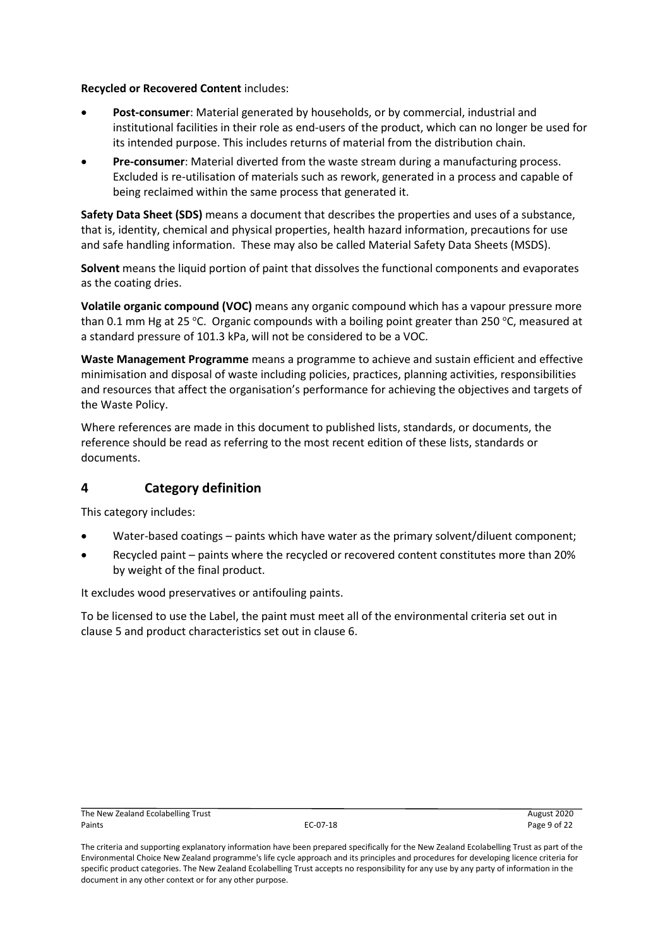**Recycled or Recovered Content** includes:

- **Post-consumer**: Material generated by households, or by commercial, industrial and institutional facilities in their role as end-users of the product, which can no longer be used for its intended purpose. This includes returns of material from the distribution chain.
- **Pre-consumer**: Material diverted from the waste stream during a manufacturing process. Excluded is re-utilisation of materials such as rework, generated in a process and capable of being reclaimed within the same process that generated it.

**Safety Data Sheet (SDS)** means a document that describes the properties and uses of a substance, that is, identity, chemical and physical properties, health hazard information, precautions for use and safe handling information. These may also be called Material Safety Data Sheets (MSDS).

**Solvent** means the liquid portion of paint that dissolves the functional components and evaporates as the coating dries.

**Volatile organic compound (VOC)** means any organic compound which has a vapour pressure more than 0.1 mm Hg at 25 °C. Organic compounds with a boiling point greater than 250 °C, measured at a standard pressure of 101.3 kPa, will not be considered to be a VOC.

**Waste Management Programme** means a programme to achieve and sustain efficient and effective minimisation and disposal of waste including policies, practices, planning activities, responsibilities and resources that affect the organisation's performance for achieving the objectives and targets of the Waste Policy.

Where references are made in this document to published lists, standards, or documents, the reference should be read as referring to the most recent edition of these lists, standards or documents.

# <span id="page-8-0"></span>**4 Category definition**

This category includes:

- Water-based coatings paints which have water as the primary solvent/diluent component;
- Recycled paint paints where the recycled or recovered content constitutes more than 20% by weight of the final product.

It excludes wood preservatives or antifouling paints.

To be licensed to use the Label, the paint must meet all of the environmental criteria set out in clause 5 and product characteristics set out in clause 6.

The criteria and supporting explanatory information have been prepared specifically for the New Zealand Ecolabelling Trust as part of the Environmental Choice New Zealand programme's life cycle approach and its principles and procedures for developing licence criteria for specific product categories. The New Zealand Ecolabelling Trust accepts no responsibility for any use by any party of information in the document in any other context or for any other purpose.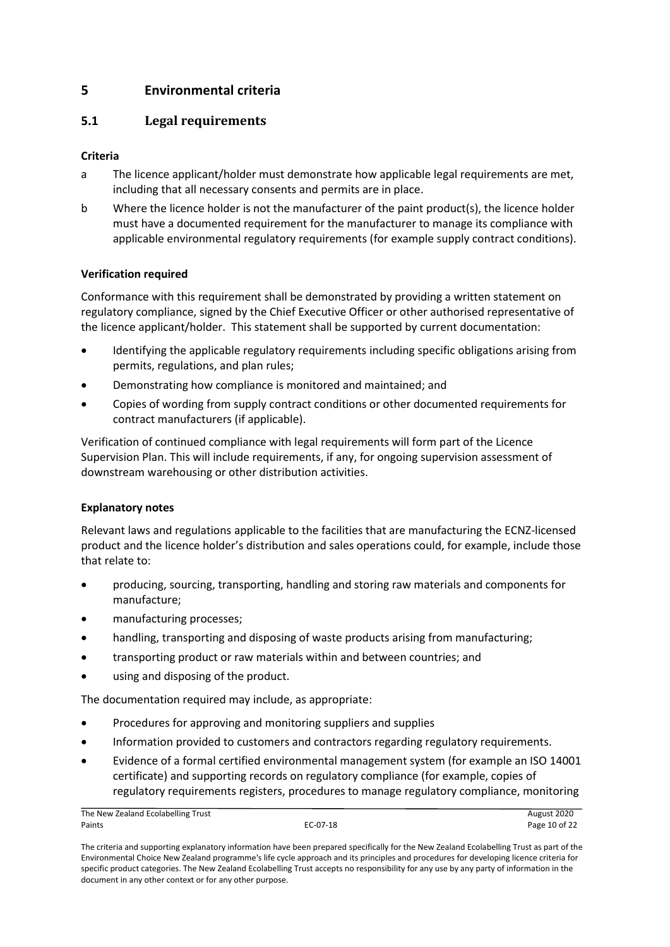# <span id="page-9-0"></span>**5 Environmental criteria**

# <span id="page-9-1"></span>**5.1 Legal requirements**

# **Criteria**

- a The licence applicant/holder must demonstrate how applicable legal requirements are met, including that all necessary consents and permits are in place.
- b Where the licence holder is not the manufacturer of the paint product(s), the licence holder must have a documented requirement for the manufacturer to manage its compliance with applicable environmental regulatory requirements (for example supply contract conditions).

#### **Verification required**

Conformance with this requirement shall be demonstrated by providing a written statement on regulatory compliance, signed by the Chief Executive Officer or other authorised representative of the licence applicant/holder. This statement shall be supported by current documentation:

- Identifying the applicable regulatory requirements including specific obligations arising from permits, regulations, and plan rules;
- Demonstrating how compliance is monitored and maintained; and
- Copies of wording from supply contract conditions or other documented requirements for contract manufacturers (if applicable).

Verification of continued compliance with legal requirements will form part of the Licence Supervision Plan. This will include requirements, if any, for ongoing supervision assessment of downstream warehousing or other distribution activities.

#### **Explanatory notes**

Relevant laws and regulations applicable to the facilities that are manufacturing the ECNZ-licensed product and the licence holder's distribution and sales operations could, for example, include those that relate to:

- producing, sourcing, transporting, handling and storing raw materials and components for manufacture;
- manufacturing processes;
- handling, transporting and disposing of waste products arising from manufacturing;
- transporting product or raw materials within and between countries; and
- using and disposing of the product.

The documentation required may include, as appropriate:

- Procedures for approving and monitoring suppliers and supplies
- Information provided to customers and contractors regarding regulatory requirements.
- Evidence of a formal certified environmental management system (for example an ISO 14001 certificate) and supporting records on regulatory compliance (for example, copies of regulatory requirements registers, procedures to manage regulatory compliance, monitoring

The New Zealand Ecolabelling Trust **August 2020** Paints EC-07-18 Page 10 of 22

The criteria and supporting explanatory information have been prepared specifically for the New Zealand Ecolabelling Trust as part of the Environmental Choice New Zealand programme's life cycle approach and its principles and procedures for developing licence criteria for specific product categories. The New Zealand Ecolabelling Trust accepts no responsibility for any use by any party of information in the document in any other context or for any other purpose.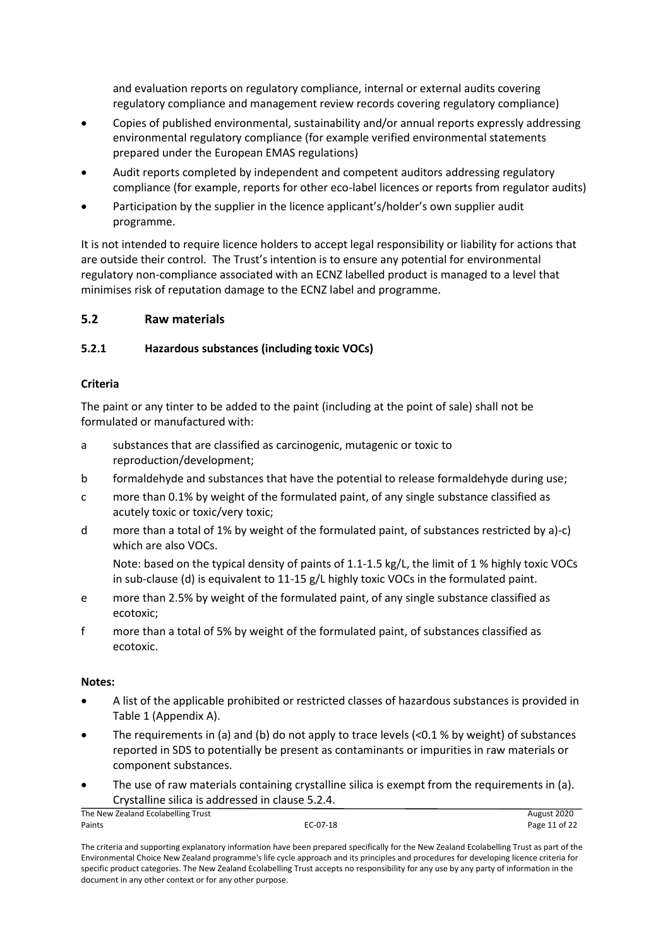and evaluation reports on regulatory compliance, internal or external audits covering regulatory compliance and management review records covering regulatory compliance)

- Copies of published environmental, sustainability and/or annual reports expressly addressing environmental regulatory compliance (for example verified environmental statements prepared under the European EMAS regulations)
- Audit reports completed by independent and competent auditors addressing regulatory compliance (for example, reports for other eco-label licences or reports from regulator audits)
- Participation by the supplier in the licence applicant's/holder's own supplier audit programme.

It is not intended to require licence holders to accept legal responsibility or liability for actions that are outside their control. The Trust's intention is to ensure any potential for environmental regulatory non-compliance associated with an ECNZ labelled product is managed to a level that minimises risk of reputation damage to the ECNZ label and programme.

# <span id="page-10-0"></span>**5.2 Raw materials**

# <span id="page-10-1"></span>**5.2.1 Hazardous substances (including toxic VOCs)**

# **Criteria**

The paint or any tinter to be added to the paint (including at the point of sale) shall not be formulated or manufactured with:

- a substances that are classified as carcinogenic, mutagenic or toxic to reproduction/development;
- b formaldehyde and substances that have the potential to release formaldehyde during use;
- c more than 0.1% by weight of the formulated paint, of any single substance classified as acutely toxic or toxic/very toxic;
- d more than a total of 1% by weight of the formulated paint, of substances restricted by a)-c) which are also VOCs.

Note: based on the typical density of paints of 1.1-1.5 kg/L, the limit of 1 % highly toxic VOCs in sub-clause (d) is equivalent to 11-15 g/L highly toxic VOCs in the formulated paint.

- e more than 2.5% by weight of the formulated paint, of any single substance classified as ecotoxic;
- f more than a total of 5% by weight of the formulated paint, of substances classified as ecotoxic.

# **Notes:**

- A list of the applicable prohibited or restricted classes of hazardous substances is provided in Table 1 (Appendix A).
- The requirements in (a) and (b) do not apply to trace levels (<0.1 % by weight) of substances reported in SDS to potentially be present as contaminants or impurities in raw materials or component substances.
- The use of raw materials containing crystalline silica is exempt from the requirements in (a). Crystalline silica is addressed in clause [5.2.4.](#page-12-1)

| The New Zealand Ecolabelling Trust |          | August 2020   |
|------------------------------------|----------|---------------|
| Paints                             | EC-07-18 | Page 11 of 22 |
|                                    |          |               |

The criteria and supporting explanatory information have been prepared specifically for the New Zealand Ecolabelling Trust as part of the Environmental Choice New Zealand programme's life cycle approach and its principles and procedures for developing licence criteria for specific product categories. The New Zealand Ecolabelling Trust accepts no responsibility for any use by any party of information in the document in any other context or for any other purpose.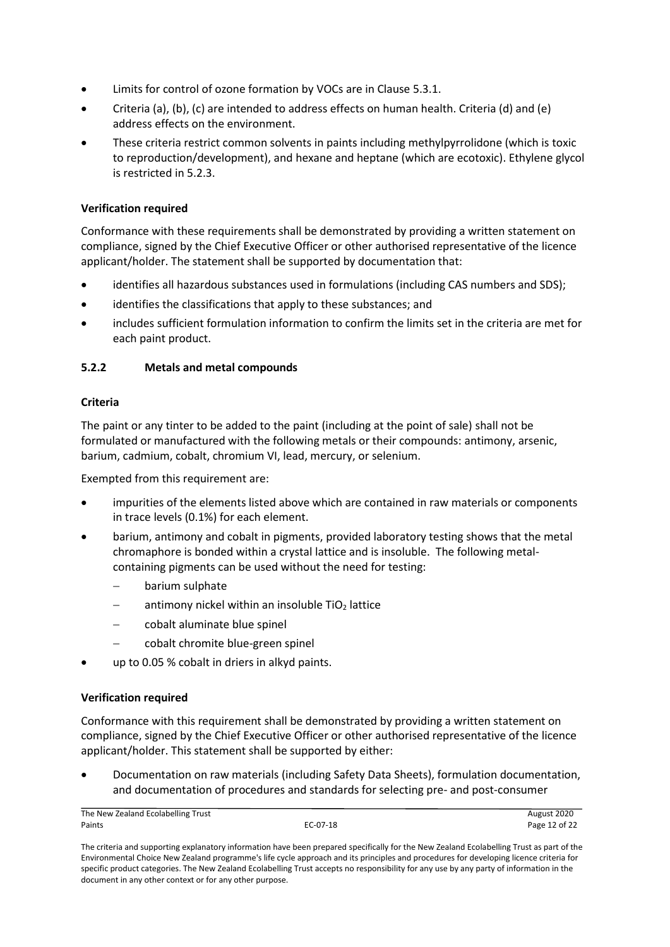- Limits for control of ozone formation by VOCs are in Clause 5.3.1.
- Criteria (a), (b), (c) are intended to address effects on human health. Criteria (d) and (e) address effects on the environment.
- These criteria restrict common solvents in paints including methylpyrrolidone (which is toxic to reproduction/development), and hexane and heptane (which are ecotoxic). Ethylene glycol is restricted in 5.2.3.

#### **Verification required**

Conformance with these requirements shall be demonstrated by providing a written statement on compliance, signed by the Chief Executive Officer or other authorised representative of the licence applicant/holder. The statement shall be supported by documentation that:

- identifies all hazardous substances used in formulations (including CAS numbers and SDS);
- identifies the classifications that apply to these substances; and
- includes sufficient formulation information to confirm the limits set in the criteria are met for each paint product.

# <span id="page-11-0"></span>**5.2.2 Metals and metal compounds**

#### **Criteria**

The paint or any tinter to be added to the paint (including at the point of sale) shall not be formulated or manufactured with the following metals or their compounds: antimony, arsenic, barium, cadmium, cobalt, chromium VI, lead, mercury, or selenium.

Exempted from this requirement are:

- impurities of the elements listed above which are contained in raw materials or components in trace levels (0.1%) for each element.
- barium, antimony and cobalt in pigments, provided laboratory testing shows that the metal chromaphore is bonded within a crystal lattice and is insoluble. The following metalcontaining pigments can be used without the need for testing:
	- − barium sulphate
	- antimony nickel within an insoluble TiO<sub>2</sub> lattice
	- − cobalt aluminate blue spinel
	- − cobalt chromite blue-green spinel
- up to 0.05 % cobalt in driers in alkyd paints.

#### **Verification required**

Conformance with this requirement shall be demonstrated by providing a written statement on compliance, signed by the Chief Executive Officer or other authorised representative of the licence applicant/holder. This statement shall be supported by either:

• Documentation on raw materials (including Safety Data Sheets), formulation documentation, and documentation of procedures and standards for selecting pre- and post-consumer

| The New Zealand Ecolabelling Trust |          | August 2020   |
|------------------------------------|----------|---------------|
| Paints                             | EC-07-18 | Page 12 of 22 |

The criteria and supporting explanatory information have been prepared specifically for the New Zealand Ecolabelling Trust as part of the Environmental Choice New Zealand programme's life cycle approach and its principles and procedures for developing licence criteria for specific product categories. The New Zealand Ecolabelling Trust accepts no responsibility for any use by any party of information in the document in any other context or for any other purpose.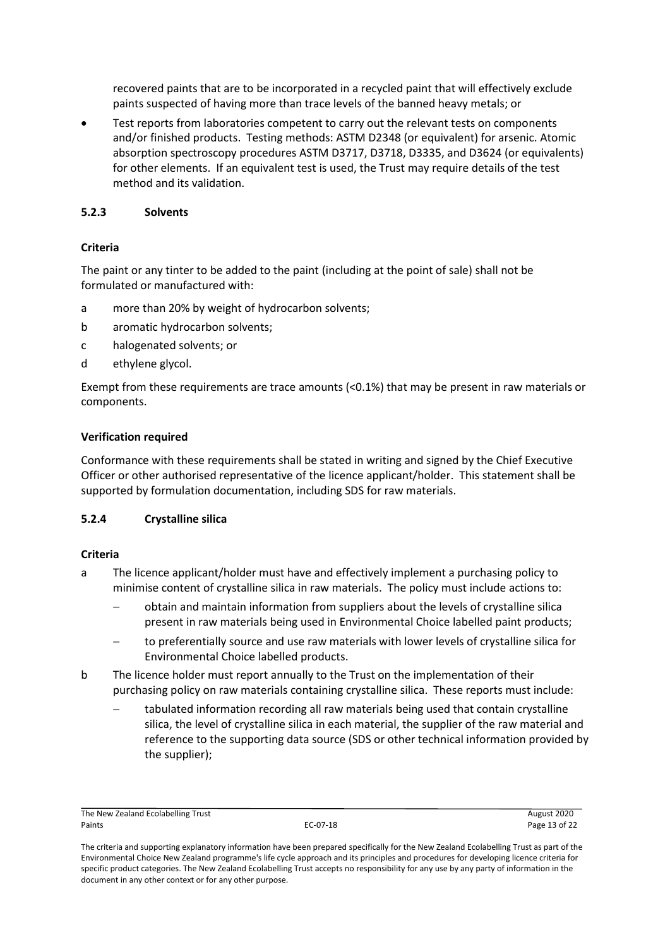recovered paints that are to be incorporated in a recycled paint that will effectively exclude paints suspected of having more than trace levels of the banned heavy metals; or

Test reports from laboratories competent to carry out the relevant tests on components and/or finished products. Testing methods: ASTM D2348 (or equivalent) for arsenic. Atomic absorption spectroscopy procedures ASTM D3717, D3718, D3335, and D3624 (or equivalents) for other elements. If an equivalent test is used, the Trust may require details of the test method and its validation.

#### <span id="page-12-0"></span>**5.2.3 Solvents**

# **Criteria**

The paint or any tinter to be added to the paint (including at the point of sale) shall not be formulated or manufactured with:

- a more than 20% by weight of hydrocarbon solvents;
- b aromatic hydrocarbon solvents;
- c halogenated solvents; or
- d ethylene glycol.

Exempt from these requirements are trace amounts (<0.1%) that may be present in raw materials or components.

#### **Verification required**

Conformance with these requirements shall be stated in writing and signed by the Chief Executive Officer or other authorised representative of the licence applicant/holder. This statement shall be supported by formulation documentation, including SDS for raw materials.

#### <span id="page-12-1"></span>**5.2.4 Crystalline silica**

#### **Criteria**

- a The licence applicant/holder must have and effectively implement a purchasing policy to minimise content of crystalline silica in raw materials. The policy must include actions to:
	- − obtain and maintain information from suppliers about the levels of crystalline silica present in raw materials being used in Environmental Choice labelled paint products;
	- to preferentially source and use raw materials with lower levels of crystalline silica for Environmental Choice labelled products.
- b The licence holder must report annually to the Trust on the implementation of their purchasing policy on raw materials containing crystalline silica. These reports must include:
	- tabulated information recording all raw materials being used that contain crystalline silica, the level of crystalline silica in each material, the supplier of the raw material and reference to the supporting data source (SDS or other technical information provided by the supplier);

The New Zealand Ecolabelling Trust **August 2020** Paints EC-07-18 Page 13 of 22

The criteria and supporting explanatory information have been prepared specifically for the New Zealand Ecolabelling Trust as part of the Environmental Choice New Zealand programme's life cycle approach and its principles and procedures for developing licence criteria for specific product categories. The New Zealand Ecolabelling Trust accepts no responsibility for any use by any party of information in the document in any other context or for any other purpose.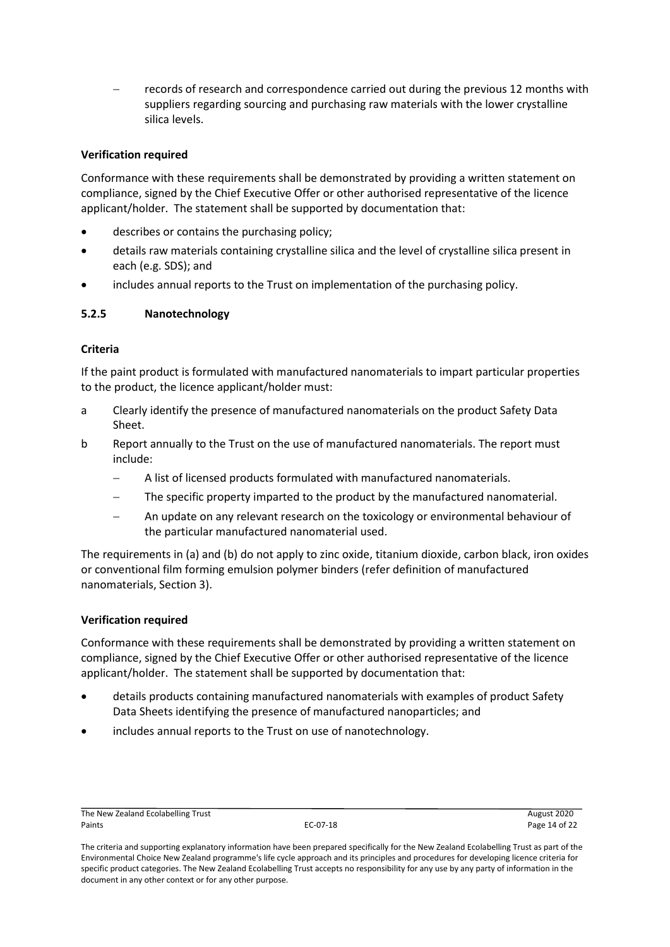records of research and correspondence carried out during the previous 12 months with suppliers regarding sourcing and purchasing raw materials with the lower crystalline silica levels.

# **Verification required**

Conformance with these requirements shall be demonstrated by providing a written statement on compliance, signed by the Chief Executive Offer or other authorised representative of the licence applicant/holder. The statement shall be supported by documentation that:

- describes or contains the purchasing policy;
- details raw materials containing crystalline silica and the level of crystalline silica present in each (e.g. SDS); and
- includes annual reports to the Trust on implementation of the purchasing policy.

#### <span id="page-13-0"></span>**5.2.5 Nanotechnology**

#### **Criteria**

If the paint product is formulated with manufactured nanomaterials to impart particular properties to the product, the licence applicant/holder must:

- a Clearly identify the presence of manufactured nanomaterials on the product Safety Data Sheet.
- b Report annually to the Trust on the use of manufactured nanomaterials. The report must include:
	- A list of licensed products formulated with manufactured nanomaterials.
	- The specific property imparted to the product by the manufactured nanomaterial.
	- An update on any relevant research on the toxicology or environmental behaviour of the particular manufactured nanomaterial used.

The requirements in (a) and (b) do not apply to zinc oxide, titanium dioxide, carbon black, iron oxides or conventional film forming emulsion polymer binders (refer definition of manufactured nanomaterials, Section 3).

#### **Verification required**

Conformance with these requirements shall be demonstrated by providing a written statement on compliance, signed by the Chief Executive Offer or other authorised representative of the licence applicant/holder. The statement shall be supported by documentation that:

- details products containing manufactured nanomaterials with examples of product Safety Data Sheets identifying the presence of manufactured nanoparticles; and
- includes annual reports to the Trust on use of nanotechnology.

The criteria and supporting explanatory information have been prepared specifically for the New Zealand Ecolabelling Trust as part of the Environmental Choice New Zealand programme's life cycle approach and its principles and procedures for developing licence criteria for specific product categories. The New Zealand Ecolabelling Trust accepts no responsibility for any use by any party of information in the document in any other context or for any other purpose.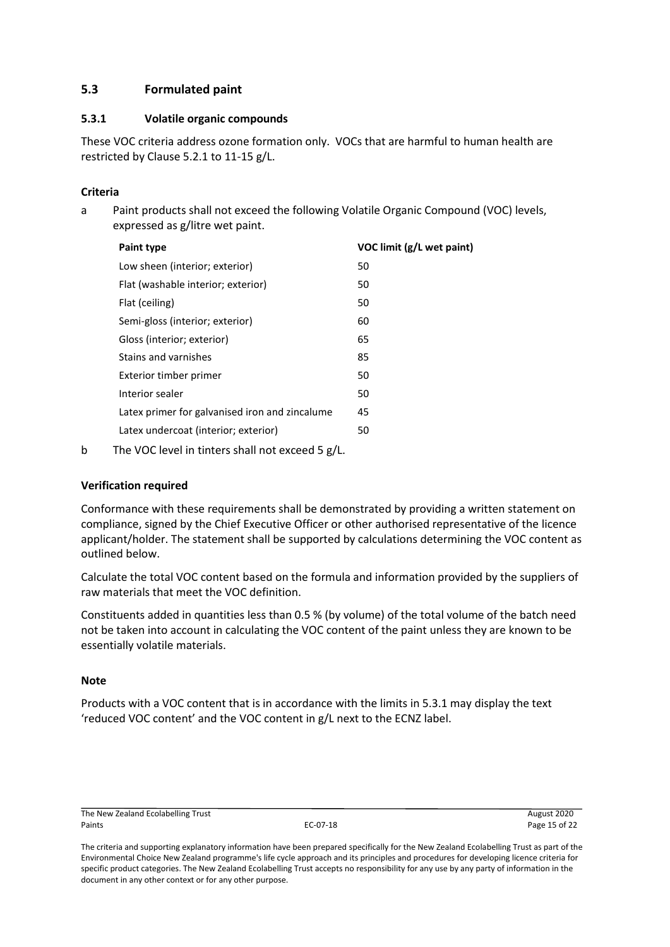# <span id="page-14-0"></span>**5.3 Formulated paint**

#### <span id="page-14-1"></span>**5.3.1 Volatile organic compounds**

These VOC criteria address ozone formation only. VOCs that are harmful to human health are restricted by Clause 5.2.1 to 11-15 g/L.

# **Criteria**

a Paint products shall not exceed the following Volatile Organic Compound (VOC) levels, expressed as g/litre wet paint.

| Paint type                                     | VOC limit (g/L wet paint) |
|------------------------------------------------|---------------------------|
| Low sheen (interior; exterior)                 | 50                        |
| Flat (washable interior; exterior)             | 50                        |
| Flat (ceiling)                                 | 50                        |
| Semi-gloss (interior; exterior)                | 60                        |
| Gloss (interior; exterior)                     | 65                        |
| Stains and varnishes                           | 85                        |
| Exterior timber primer                         | 50                        |
| Interior sealer                                | 50                        |
| Latex primer for galvanised iron and zincalume | 45                        |
| Latex undercoat (interior; exterior)           | 50                        |
|                                                |                           |

b The VOC level in tinters shall not exceed 5 g/L.

# **Verification required**

Conformance with these requirements shall be demonstrated by providing a written statement on compliance, signed by the Chief Executive Officer or other authorised representative of the licence applicant/holder. The statement shall be supported by calculations determining the VOC content as outlined below.

Calculate the total VOC content based on the formula and information provided by the suppliers of raw materials that meet the VOC definition.

Constituents added in quantities less than 0.5 % (by volume) of the total volume of the batch need not be taken into account in calculating the VOC content of the paint unless they are known to be essentially volatile materials.

#### **Note**

Products with a VOC content that is in accordance with the limits in 5.3.1 may display the text 'reduced VOC content' and the VOC content in g/L next to the ECNZ label.

The New Zealand Ecolabelling Trust **August 2020** Paints EC-07-18 Page 15 of 22

The criteria and supporting explanatory information have been prepared specifically for the New Zealand Ecolabelling Trust as part of the Environmental Choice New Zealand programme's life cycle approach and its principles and procedures for developing licence criteria for specific product categories. The New Zealand Ecolabelling Trust accepts no responsibility for any use by any party of information in the document in any other context or for any other purpose.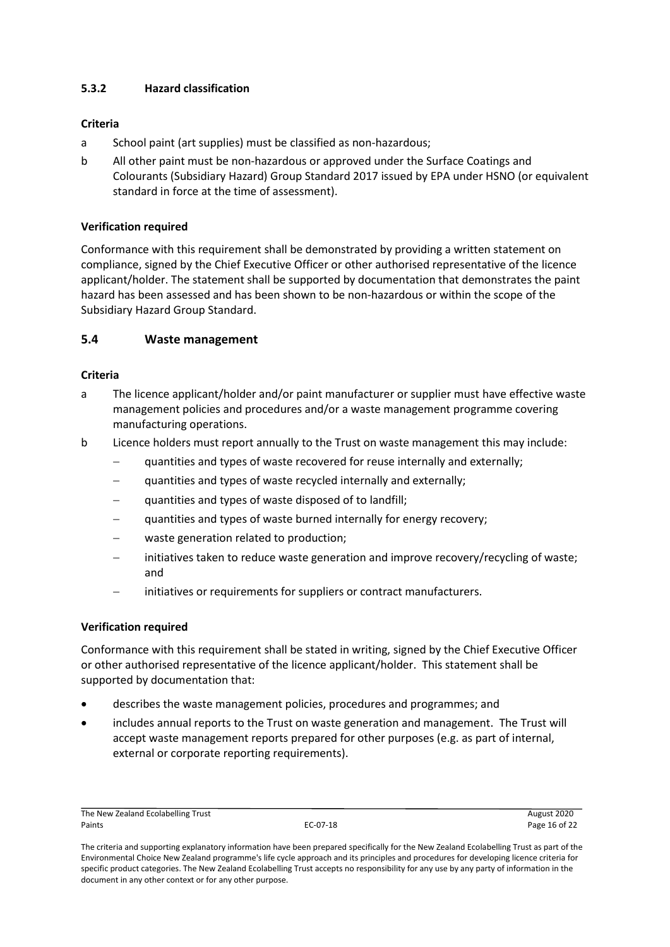# <span id="page-15-0"></span>**5.3.2 Hazard classification**

#### **Criteria**

- a School paint (art supplies) must be classified as non-hazardous;
- b All other paint must be non-hazardous or approved under the Surface Coatings and Colourants (Subsidiary Hazard) Group Standard 2017 issued by EPA under HSNO (or equivalent standard in force at the time of assessment).

#### **Verification required**

Conformance with this requirement shall be demonstrated by providing a written statement on compliance, signed by the Chief Executive Officer or other authorised representative of the licence applicant/holder. The statement shall be supported by documentation that demonstrates the paint hazard has been assessed and has been shown to be non-hazardous or within the scope of the Subsidiary Hazard Group Standard.

#### <span id="page-15-1"></span>**5.4 Waste management**

#### **Criteria**

- a The licence applicant/holder and/or paint manufacturer or supplier must have effective waste management policies and procedures and/or a waste management programme covering manufacturing operations.
- b Licence holders must report annually to the Trust on waste management this may include:
	- quantities and types of waste recovered for reuse internally and externally;
	- quantities and types of waste recycled internally and externally;
	- quantities and types of waste disposed of to landfill;
	- quantities and types of waste burned internally for energy recovery;
	- waste generation related to production;
	- − initiatives taken to reduce waste generation and improve recovery/recycling of waste; and
	- initiatives or requirements for suppliers or contract manufacturers.

#### **Verification required**

Conformance with this requirement shall be stated in writing, signed by the Chief Executive Officer or other authorised representative of the licence applicant/holder. This statement shall be supported by documentation that:

- describes the waste management policies, procedures and programmes; and
- includes annual reports to the Trust on waste generation and management. The Trust will accept waste management reports prepared for other purposes (e.g. as part of internal, external or corporate reporting requirements).

The New Zealand Ecolabelling Trust **August 2020** Paints **Particle 2018 EC-07-18 COVID-18 Page 16 of 22 Page 16 of 22** 

The criteria and supporting explanatory information have been prepared specifically for the New Zealand Ecolabelling Trust as part of the Environmental Choice New Zealand programme's life cycle approach and its principles and procedures for developing licence criteria for specific product categories. The New Zealand Ecolabelling Trust accepts no responsibility for any use by any party of information in the document in any other context or for any other purpose.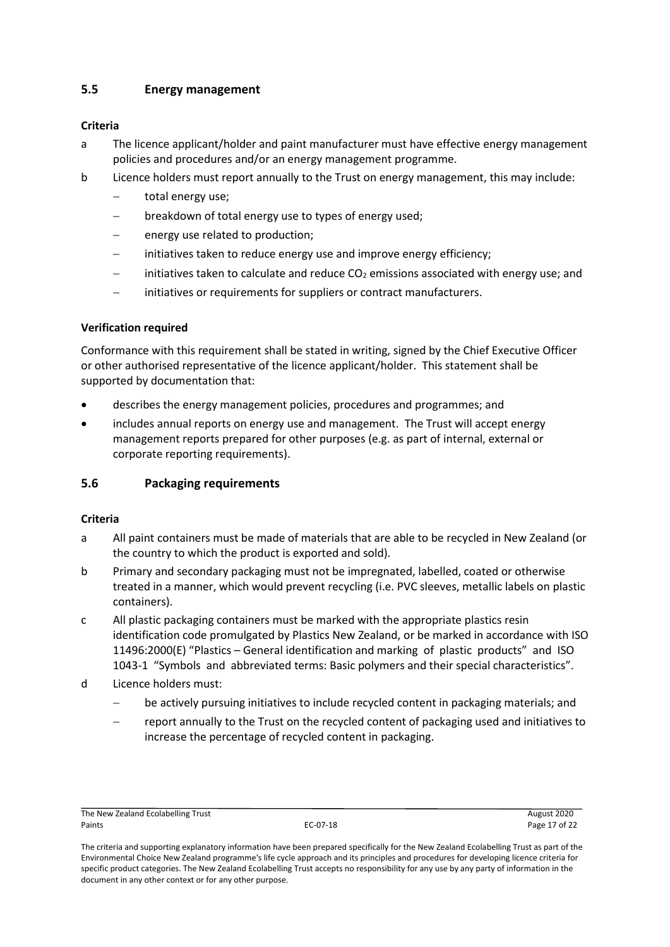# <span id="page-16-0"></span>**5.5 Energy management**

## **Criteria**

- a The licence applicant/holder and paint manufacturer must have effective energy management policies and procedures and/or an energy management programme.
- b Licence holders must report annually to the Trust on energy management, this may include:
	- total energy use;
	- breakdown of total energy use to types of energy used;
	- energy use related to production;
	- initiatives taken to reduce energy use and improve energy efficiency;
	- initiatives taken to calculate and reduce  $CO<sub>2</sub>$  emissions associated with energy use; and
	- initiatives or requirements for suppliers or contract manufacturers.

#### **Verification required**

Conformance with this requirement shall be stated in writing, signed by the Chief Executive Officer or other authorised representative of the licence applicant/holder. This statement shall be supported by documentation that:

- describes the energy management policies, procedures and programmes; and
- includes annual reports on energy use and management. The Trust will accept energy management reports prepared for other purposes (e.g. as part of internal, external or corporate reporting requirements).

# <span id="page-16-1"></span>**5.6 Packaging requirements**

#### **Criteria**

- a All paint containers must be made of materials that are able to be recycled in New Zealand (or the country to which the product is exported and sold).
- b Primary and secondary packaging must not be impregnated, labelled, coated or otherwise treated in a manner, which would prevent recycling (i.e. PVC sleeves, metallic labels on plastic containers).
- c All plastic packaging containers must be marked with the appropriate plastics resin identification code promulgated by Plastics New Zealand, or be marked in accordance with ISO 11496:2000(E) "Plastics – General identification and marking of plastic products" and ISO 1043-1 "Symbols and abbreviated terms: Basic polymers and their special characteristics".
- d Licence holders must:
	- be actively pursuing initiatives to include recycled content in packaging materials; and
	- − report annually to the Trust on the recycled content of packaging used and initiatives to increase the percentage of recycled content in packaging.

The New Zealand Ecolabelling Trust **August 2020** Paints EC-07-18 Page 17 of 22

The criteria and supporting explanatory information have been prepared specifically for the New Zealand Ecolabelling Trust as part of the Environmental Choice New Zealand programme's life cycle approach and its principles and procedures for developing licence criteria for specific product categories. The New Zealand Ecolabelling Trust accepts no responsibility for any use by any party of information in the document in any other context or for any other purpose.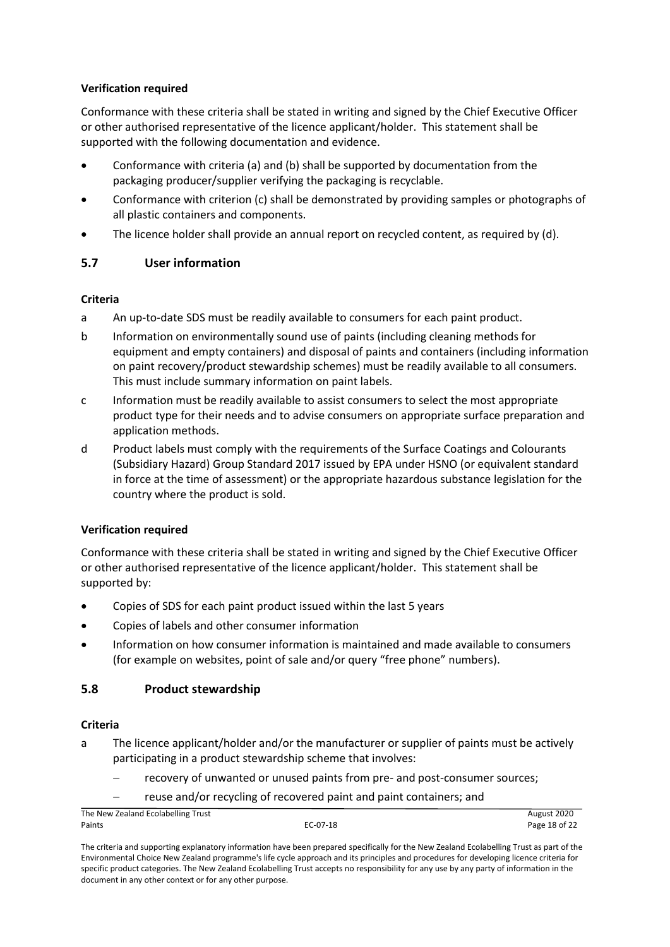#### **Verification required**

Conformance with these criteria shall be stated in writing and signed by the Chief Executive Officer or other authorised representative of the licence applicant/holder. This statement shall be supported with the following documentation and evidence.

- Conformance with criteria (a) and (b) shall be supported by documentation from the packaging producer/supplier verifying the packaging is recyclable.
- Conformance with criterion (c) shall be demonstrated by providing samples or photographs of all plastic containers and components.
- The licence holder shall provide an annual report on recycled content, as required by (d).

# <span id="page-17-0"></span>**5.7 User information**

#### **Criteria**

- a An up-to-date SDS must be readily available to consumers for each paint product.
- b Information on environmentally sound use of paints (including cleaning methods for equipment and empty containers) and disposal of paints and containers (including information on paint recovery/product stewardship schemes) must be readily available to all consumers. This must include summary information on paint labels.
- c Information must be readily available to assist consumers to select the most appropriate product type for their needs and to advise consumers on appropriate surface preparation and application methods.
- d Product labels must comply with the requirements of the Surface Coatings and Colourants (Subsidiary Hazard) Group Standard 2017 issued by EPA under HSNO (or equivalent standard in force at the time of assessment) or the appropriate hazardous substance legislation for the country where the product is sold.

# **Verification required**

Conformance with these criteria shall be stated in writing and signed by the Chief Executive Officer or other authorised representative of the licence applicant/holder. This statement shall be supported by:

- Copies of SDS for each paint product issued within the last 5 years
- Copies of labels and other consumer information
- Information on how consumer information is maintained and made available to consumers (for example on websites, point of sale and/or query "free phone" numbers).

# <span id="page-17-1"></span>**5.8 Product stewardship**

#### **Criteria**

- a The licence applicant/holder and/or the manufacturer or supplier of paints must be actively participating in a product stewardship scheme that involves:
	- recovery of unwanted or unused paints from pre- and post-consumer sources;

#### reuse and/or recycling of recovered paint and paint containers; and

| The New Zealand Ecolabelling Trust |          | August 2020   |
|------------------------------------|----------|---------------|
| Paints                             | EC-07-18 | Page 18 of 22 |

The criteria and supporting explanatory information have been prepared specifically for the New Zealand Ecolabelling Trust as part of the Environmental Choice New Zealand programme's life cycle approach and its principles and procedures for developing licence criteria for specific product categories. The New Zealand Ecolabelling Trust accepts no responsibility for any use by any party of information in the document in any other context or for any other purpose.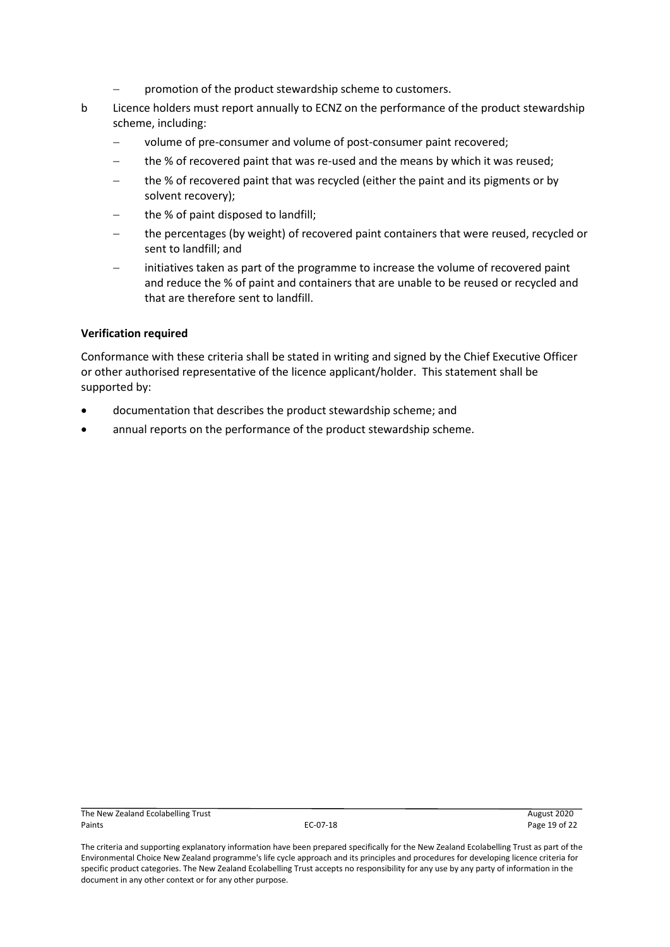- promotion of the product stewardship scheme to customers.
- b Licence holders must report annually to ECNZ on the performance of the product stewardship scheme, including:
	- − volume of pre-consumer and volume of post-consumer paint recovered;
	- the % of recovered paint that was re-used and the means by which it was reused;
	- the % of recovered paint that was recycled (either the paint and its pigments or by solvent recovery);
	- the % of paint disposed to landfill;
	- the percentages (by weight) of recovered paint containers that were reused, recycled or sent to landfill; and
	- initiatives taken as part of the programme to increase the volume of recovered paint and reduce the % of paint and containers that are unable to be reused or recycled and that are therefore sent to landfill.

#### **Verification required**

Conformance with these criteria shall be stated in writing and signed by the Chief Executive Officer or other authorised representative of the licence applicant/holder. This statement shall be supported by:

- documentation that describes the product stewardship scheme; and
- annual reports on the performance of the product stewardship scheme.

The criteria and supporting explanatory information have been prepared specifically for the New Zealand Ecolabelling Trust as part of the Environmental Choice New Zealand programme's life cycle approach and its principles and procedures for developing licence criteria for specific product categories. The New Zealand Ecolabelling Trust accepts no responsibility for any use by any party of information in the document in any other context or for any other purpose.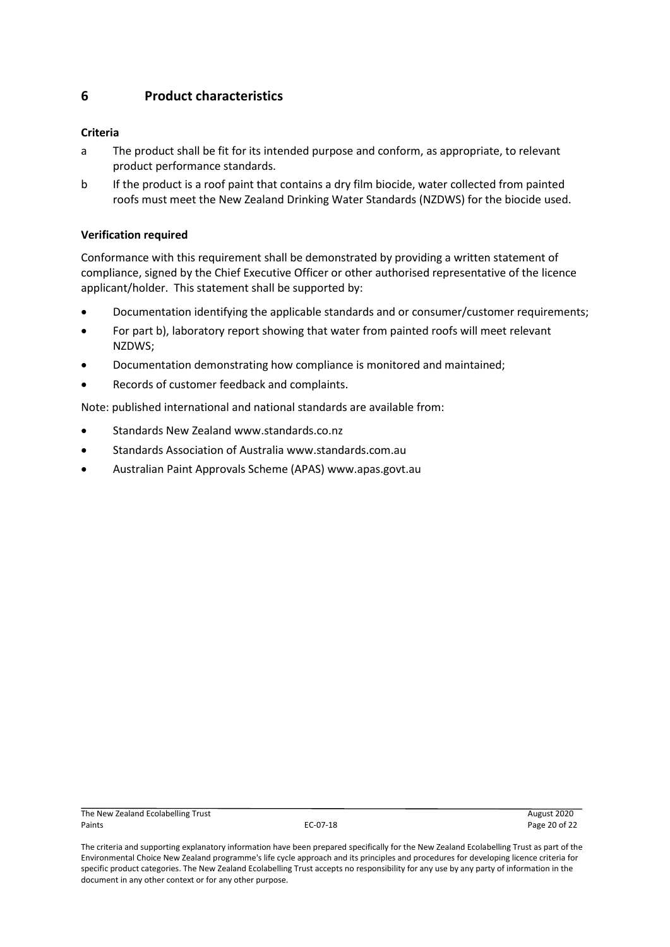# <span id="page-19-0"></span>**6 Product characteristics**

## **Criteria**

- a The product shall be fit for its intended purpose and conform, as appropriate, to relevant product performance standards.
- b If the product is a roof paint that contains a dry film biocide, water collected from painted roofs must meet the New Zealand Drinking Water Standards (NZDWS) for the biocide used.

#### **Verification required**

Conformance with this requirement shall be demonstrated by providing a written statement of compliance, signed by the Chief Executive Officer or other authorised representative of the licence applicant/holder. This statement shall be supported by:

- Documentation identifying the applicable standards and or consumer/customer requirements;
- For part b), laboratory report showing that water from painted roofs will meet relevant NZDWS;
- Documentation demonstrating how compliance is monitored and maintained;
- Records of customer feedback and complaints.

Note: published international and national standards are available from:

- Standards New Zealand www.standards.co.nz
- Standards Association of Australia www.standards.com.au
- Australian Paint Approvals Scheme (APAS) www.apas.govt.au

The criteria and supporting explanatory information have been prepared specifically for the New Zealand Ecolabelling Trust as part of the Environmental Choice New Zealand programme's life cycle approach and its principles and procedures for developing licence criteria for specific product categories. The New Zealand Ecolabelling Trust accepts no responsibility for any use by any party of information in the document in any other context or for any other purpose.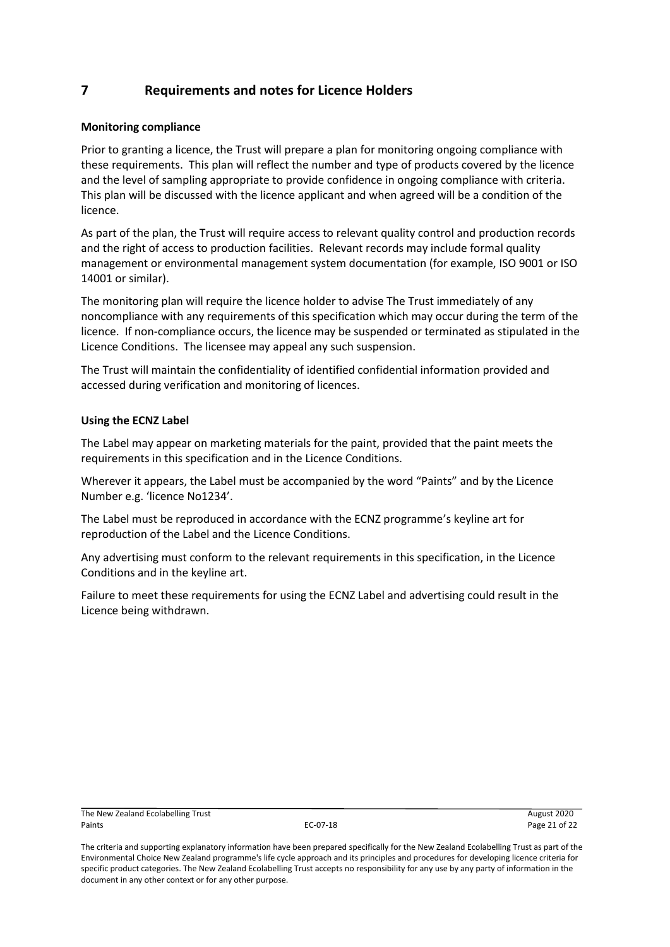# <span id="page-20-0"></span>**7 Requirements and notes for Licence Holders**

#### **Monitoring compliance**

Prior to granting a licence, the Trust will prepare a plan for monitoring ongoing compliance with these requirements. This plan will reflect the number and type of products covered by the licence and the level of sampling appropriate to provide confidence in ongoing compliance with criteria. This plan will be discussed with the licence applicant and when agreed will be a condition of the licence.

As part of the plan, the Trust will require access to relevant quality control and production records and the right of access to production facilities. Relevant records may include formal quality management or environmental management system documentation (for example, ISO 9001 or ISO 14001 or similar).

The monitoring plan will require the licence holder to advise The Trust immediately of any noncompliance with any requirements of this specification which may occur during the term of the licence. If non-compliance occurs, the licence may be suspended or terminated as stipulated in the Licence Conditions. The licensee may appeal any such suspension.

The Trust will maintain the confidentiality of identified confidential information provided and accessed during verification and monitoring of licences.

#### **Using the ECNZ Label**

The Label may appear on marketing materials for the paint, provided that the paint meets the requirements in this specification and in the Licence Conditions.

Wherever it appears, the Label must be accompanied by the word "Paints" and by the Licence Number e.g. 'licence No1234'.

The Label must be reproduced in accordance with the ECNZ programme's keyline art for reproduction of the Label and the Licence Conditions.

Any advertising must conform to the relevant requirements in this specification, in the Licence Conditions and in the keyline art.

Failure to meet these requirements for using the ECNZ Label and advertising could result in the Licence being withdrawn.

The criteria and supporting explanatory information have been prepared specifically for the New Zealand Ecolabelling Trust as part of the Environmental Choice New Zealand programme's life cycle approach and its principles and procedures for developing licence criteria for specific product categories. The New Zealand Ecolabelling Trust accepts no responsibility for any use by any party of information in the document in any other context or for any other purpose.